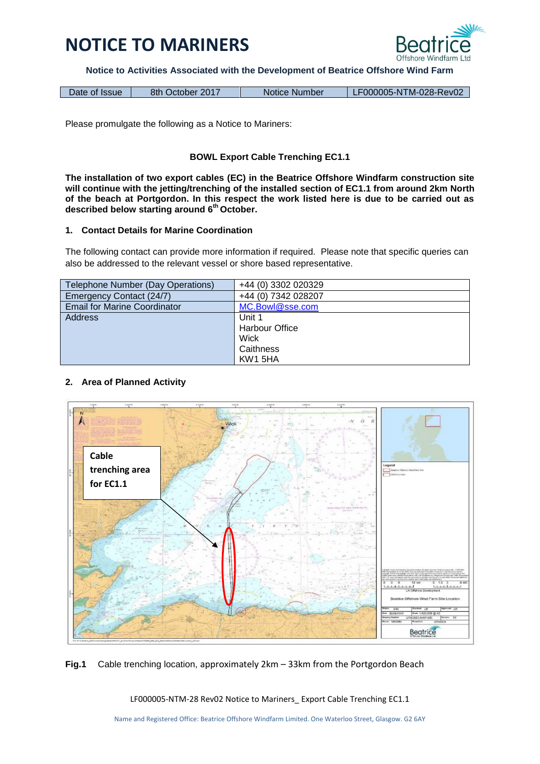

**Notice to Activities Associated with the Development of Beatrice Offshore Wind Farm**

| LF000005-NTM-028-Rev02<br>8th October 2017<br>Notice Number<br>Date of Issue |
|------------------------------------------------------------------------------|
|------------------------------------------------------------------------------|

Please promulgate the following as a Notice to Mariners:

### **BOWL Export Cable Trenching EC1.1**

**The installation of two export cables (EC) in the Beatrice Offshore Windfarm construction site will continue with the jetting/trenching of the installed section of EC1.1 from around 2km North of the beach at Portgordon. In this respect the work listed here is due to be carried out as described below starting around 6 th October.**

#### **1. Contact Details for Marine Coordination**

The following contact can provide more information if required. Please note that specific queries can also be addressed to the relevant vessel or shore based representative.

| Telephone Number (Day Operations)   | +44 (0) 3302 020329 |
|-------------------------------------|---------------------|
| Emergency Contact (24/7)            | +44 (0) 7342 028207 |
| <b>Email for Marine Coordinator</b> | MC.Bowl@sse.com     |
| <b>Address</b>                      | Unit 1              |
|                                     | Harbour Office      |
|                                     | Wick                |
|                                     | Caithness           |
|                                     | KW1 5HA             |

### **2. Area of Planned Activity**



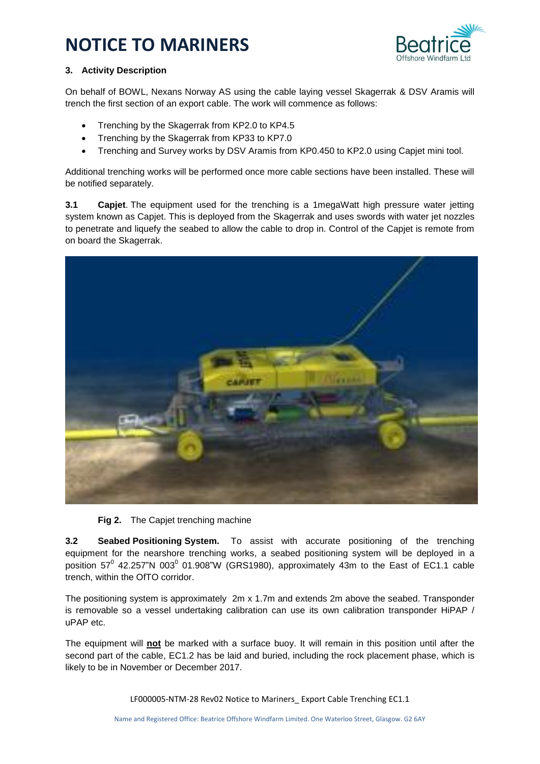

### **3. Activity Description**

On behalf of BOWL, Nexans Norway AS using the cable laying vessel Skagerrak & DSV Aramis will trench the first section of an export cable. The work will commence as follows:

- Trenching by the Skagerrak from KP2.0 to KP4.5
- Trenching by the Skagerrak from KP33 to KP7.0
- Trenching and Survey works by DSV Aramis from KP0.450 to KP2.0 using Capjet mini tool.

Additional trenching works will be performed once more cable sections have been installed. These will be notified separately.

**3.1 Capjet**. The equipment used for the trenching is a 1megaWatt high pressure water jetting system known as Capjet. This is deployed from the Skagerrak and uses swords with water jet nozzles to penetrate and liquefy the seabed to allow the cable to drop in. Control of the Capjet is remote from on board the Skagerrak.



**Fig 2.** The Capjet trenching machine

**3.2 Seabed Positioning System.** To assist with accurate positioning of the trenching equipment for the nearshore trenching works, a seabed positioning system will be deployed in a position 57<sup>0</sup> 42.257"N 003<sup>0</sup> 01.908"W (GRS1980), approximately 43m to the East of EC1.1 cable trench, within the OfTO corridor.

The positioning system is approximately 2m x 1.7m and extends 2m above the seabed. Transponder is removable so a vessel undertaking calibration can use its own calibration transponder HiPAP / uPAP etc.

The equipment will **not** be marked with a surface buoy. It will remain in this position until after the second part of the cable, EC1.2 has be laid and buried, including the rock placement phase, which is likely to be in November or December 2017.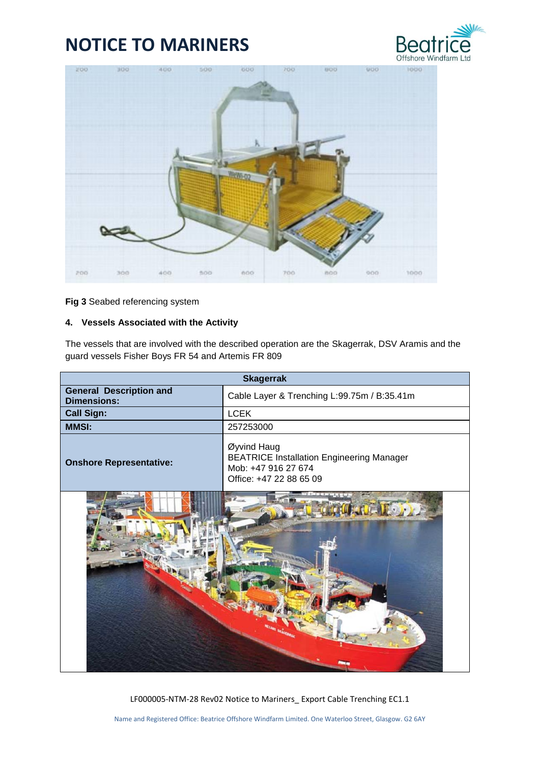



**Fig 3** Seabed referencing system

### **4. Vessels Associated with the Activity**

The vessels that are involved with the described operation are the Skagerrak, DSV Aramis and the guard vessels Fisher Boys FR 54 and Artemis FR 809

| <b>Skagerrak</b>                                     |                                                                                                                   |
|------------------------------------------------------|-------------------------------------------------------------------------------------------------------------------|
| <b>General Description and</b><br><b>Dimensions:</b> | Cable Layer & Trenching L:99.75m / B:35.41m                                                                       |
| <b>Call Sign:</b>                                    | <b>LCEK</b>                                                                                                       |
| <b>MMSI:</b>                                         | 257253000                                                                                                         |
| <b>Onshore Representative:</b>                       | Øyvind Haug<br><b>BEATRICE Installation Engineering Manager</b><br>Mob: +47 916 27 674<br>Office: +47 22 88 65 09 |
|                                                      |                                                                                                                   |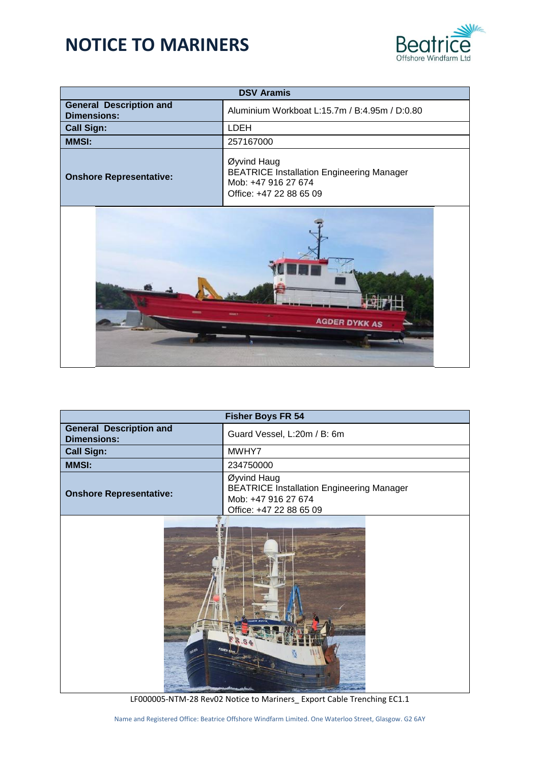

| <b>DSV Aramis</b>                                    |                                                                                                                   |
|------------------------------------------------------|-------------------------------------------------------------------------------------------------------------------|
| <b>General Description and</b><br><b>Dimensions:</b> | Aluminium Workboat L:15.7m / B:4.95m / D:0.80                                                                     |
| <b>Call Sign:</b>                                    | LDEH                                                                                                              |
| <b>MMSI:</b>                                         | 257167000                                                                                                         |
| <b>Onshore Representative:</b>                       | Øyvind Haug<br><b>BEATRICE Installation Engineering Manager</b><br>Mob: +47 916 27 674<br>Office: +47 22 88 65 09 |
| <b>AGDER DYKK AS</b>                                 |                                                                                                                   |

| <b>Fisher Boys FR 54</b>                             |                                                                                                                   |
|------------------------------------------------------|-------------------------------------------------------------------------------------------------------------------|
| <b>General Description and</b><br><b>Dimensions:</b> | Guard Vessel, L:20m / B: 6m                                                                                       |
| <b>Call Sign:</b>                                    | MWHY7                                                                                                             |
| <b>MMSI:</b>                                         | 234750000                                                                                                         |
| <b>Onshore Representative:</b>                       | Øyvind Haug<br><b>BEATRICE Installation Engineering Manager</b><br>Mob: +47 916 27 674<br>Office: +47 22 88 65 09 |
|                                                      |                                                                                                                   |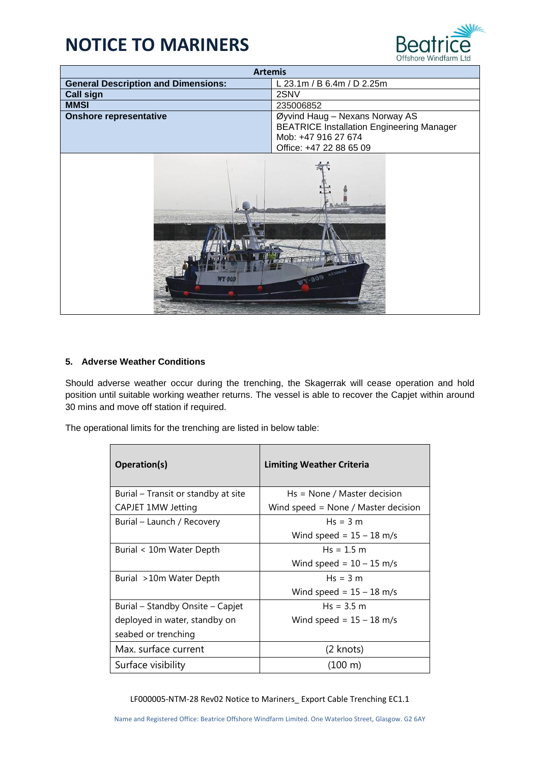

| <b>Artemis</b>                             |                                                  |
|--------------------------------------------|--------------------------------------------------|
| <b>General Description and Dimensions:</b> | L 23.1m / B 6.4m / D 2.25m                       |
| <b>Call sign</b>                           | 2SNV                                             |
| <b>MMSI</b>                                | 235006852                                        |
| <b>Onshore representative</b>              | Øyvind Haug - Nexans Norway AS                   |
|                                            | <b>BEATRICE Installation Engineering Manager</b> |
|                                            | Mob: +47 916 27 674                              |
|                                            | Office: +47 22 88 65 09                          |
| WY-809 ARTEMA<br>a vostati                 |                                                  |

### **5. Adverse Weather Conditions**

Should adverse weather occur during the trenching, the Skagerrak will cease operation and hold position until suitable working weather returns. The vessel is able to recover the Capjet within around 30 mins and move off station if required.

The operational limits for the trenching are listed in below table:

| Operation(s)                        | <b>Limiting Weather Criteria</b>    |
|-------------------------------------|-------------------------------------|
| Burial – Transit or standby at site | $Hs = None / Master decision$       |
| CAPJET 1MW Jetting                  | Wind speed = None / Master decision |
| Burial - Launch / Recovery          | $Hs = 3 m$                          |
|                                     | Wind speed = $15 - 18$ m/s          |
| Burial < 10m Water Depth            | $Hs = 1.5 m$                        |
|                                     | Wind speed = $10 - 15$ m/s          |
| Burial >10m Water Depth             | $Hs = 3 m$                          |
|                                     | Wind speed = $15 - 18$ m/s          |
| Burial – Standby Onsite – Capjet    | $Hs = 3.5 m$                        |
| deployed in water, standby on       | Wind speed = $15 - 18$ m/s          |
| seabed or trenching                 |                                     |
| Max. surface current                | (2 knots)                           |
| Surface visibility                  | $(100 \;{\rm m})$                   |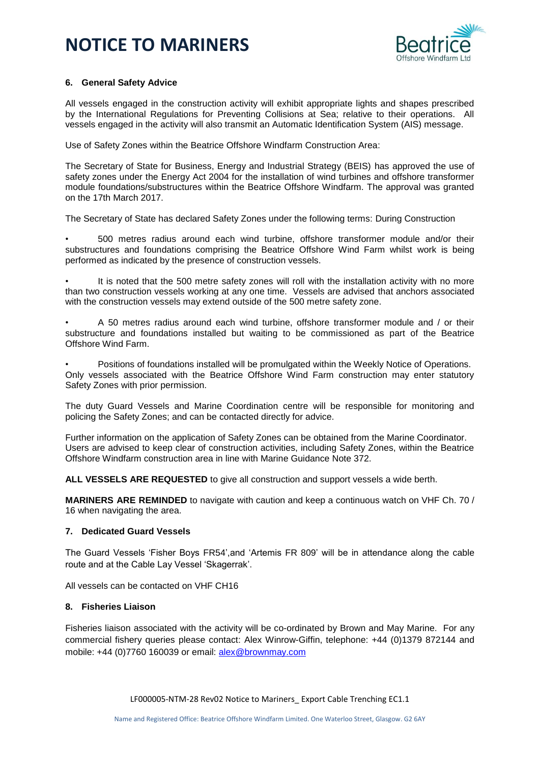

#### **6. General Safety Advice**

All vessels engaged in the construction activity will exhibit appropriate lights and shapes prescribed by the International Regulations for Preventing Collisions at Sea; relative to their operations. All vessels engaged in the activity will also transmit an Automatic Identification System (AIS) message.

Use of Safety Zones within the Beatrice Offshore Windfarm Construction Area:

The Secretary of State for Business, Energy and Industrial Strategy (BEIS) has approved the use of safety zones under the Energy Act 2004 for the installation of wind turbines and offshore transformer module foundations/substructures within the Beatrice Offshore Windfarm. The approval was granted on the 17th March 2017.

The Secretary of State has declared Safety Zones under the following terms: During Construction

• 500 metres radius around each wind turbine, offshore transformer module and/or their substructures and foundations comprising the Beatrice Offshore Wind Farm whilst work is being performed as indicated by the presence of construction vessels.

It is noted that the 500 metre safety zones will roll with the installation activity with no more than two construction vessels working at any one time. Vessels are advised that anchors associated with the construction vessels may extend outside of the 500 metre safety zone.

• A 50 metres radius around each wind turbine, offshore transformer module and / or their substructure and foundations installed but waiting to be commissioned as part of the Beatrice Offshore Wind Farm.

• Positions of foundations installed will be promulgated within the Weekly Notice of Operations. Only vessels associated with the Beatrice Offshore Wind Farm construction may enter statutory Safety Zones with prior permission.

The duty Guard Vessels and Marine Coordination centre will be responsible for monitoring and policing the Safety Zones; and can be contacted directly for advice.

Further information on the application of Safety Zones can be obtained from the Marine Coordinator. Users are advised to keep clear of construction activities, including Safety Zones, within the Beatrice Offshore Windfarm construction area in line with Marine Guidance Note 372.

**ALL VESSELS ARE REQUESTED** to give all construction and support vessels a wide berth.

**MARINERS ARE REMINDED** to navigate with caution and keep a continuous watch on VHF Ch. 70 / 16 when navigating the area.

### **7. Dedicated Guard Vessels**

The Guard Vessels 'Fisher Boys FR54',and 'Artemis FR 809' will be in attendance along the cable route and at the Cable Lay Vessel 'Skagerrak'.

All vessels can be contacted on VHF CH16

#### **8. Fisheries Liaison**

Fisheries liaison associated with the activity will be co-ordinated by Brown and May Marine. For any commercial fishery queries please contact: Alex Winrow-Giffin, telephone: +44 (0)1379 872144 and mobile: +44 (0)7760 160039 or email: [alex@brownmay.com](mailto:alex@brownmay.com)